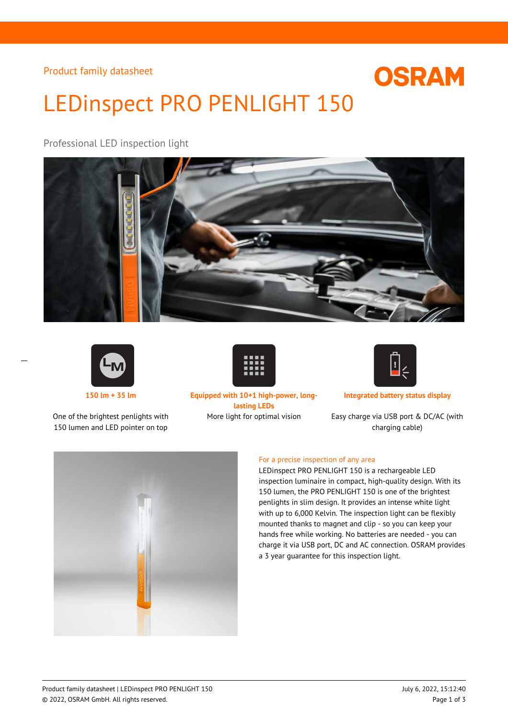Product family datasheet

# LEDinspect PRO PENLIGHT 150

Professional LED inspection light





 $\overline{a}$ 

One of the brightest penlights with 150 lumen and LED pointer on top



**150 lm + 35 lm Equipped with 10+1 high-power, longlasting LEDs**



**OSRAM** 

**Integrated battery status display**

More light for optimal vision Easy charge via USB port & DC/AC (with charging cable)



#### For a precise inspection of any area

LEDinspect PRO PENLIGHT 150 is a rechargeable LED inspection luminaire in compact, high-quality design. With its 150 lumen, the PRO PENLIGHT 150 is one of the brightest penlights in slim design. It provides an intense white light with up to 6,000 Kelvin. The inspection light can be flexibly mounted thanks to magnet and clip - so you can keep your hands free while working. No batteries are needed - you can charge it via USB port, DC and AC connection. OSRAM provides a 3 year guarantee for this inspection light.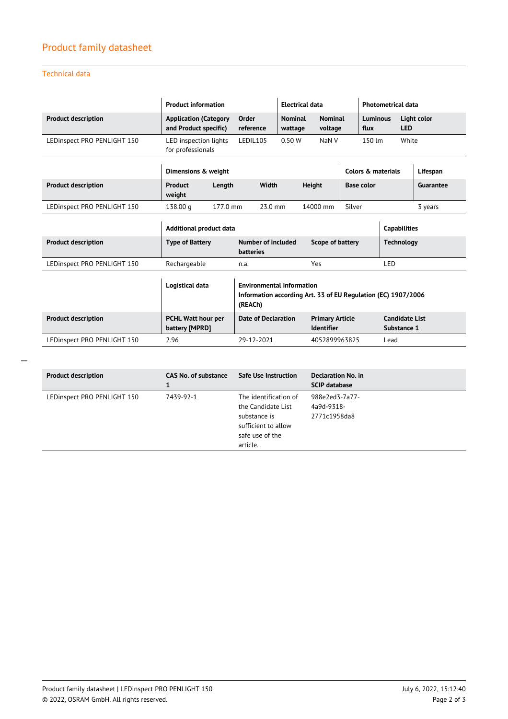## Product family datasheet

#### Technical data

|                             | <b>Product information</b>                            |                                                                                                              | <b>Electrical data</b>                                     |                           |                                             | <b>Photometrical data</b> |                                      |                      |                           |  |
|-----------------------------|-------------------------------------------------------|--------------------------------------------------------------------------------------------------------------|------------------------------------------------------------|---------------------------|---------------------------------------------|---------------------------|--------------------------------------|----------------------|---------------------------|--|
| <b>Product description</b>  | <b>Application (Category</b><br>and Product specific) |                                                                                                              | Order<br>reference                                         | <b>Nominal</b><br>wattage |                                             | <b>Nominal</b><br>voltage |                                      | Luminous             | Light color<br><b>LED</b> |  |
| LEDinspect PRO PENLIGHT 150 | LED inspection lights<br>for professionals            |                                                                                                              | LEDIL105<br>0.50W                                          |                           |                                             | NaN <sub>V</sub>          |                                      | $150 \, \mathrm{Im}$ | White                     |  |
|                             | Dimensions & weight                                   |                                                                                                              |                                                            |                           |                                             |                           | Colors & materials                   |                      | Lifespan                  |  |
| <b>Product description</b>  | Product<br>weight                                     | Length                                                                                                       | Width                                                      |                           | <b>Height</b>                               |                           | <b>Base color</b>                    |                      | Guarantee                 |  |
| LEDinspect PRO PENLIGHT 150 | 138.00 g                                              | 177.0 mm                                                                                                     | 23.0 mm                                                    |                           | 14000 mm                                    |                           | Silver                               |                      | 3 years                   |  |
|                             | Additional product data                               |                                                                                                              |                                                            |                           |                                             |                           | <b>Capabilities</b>                  |                      |                           |  |
| <b>Product description</b>  | <b>Type of Battery</b>                                |                                                                                                              | Number of included<br>Scope of battery<br><b>batteries</b> |                           |                                             | <b>Technology</b>         |                                      |                      |                           |  |
| LEDinspect PRO PENLIGHT 150 | Rechargeable                                          |                                                                                                              | n.a.                                                       |                           | Yes                                         |                           |                                      | LED                  |                           |  |
|                             | Logistical data                                       | <b>Environmental information</b><br>Information according Art. 33 of EU Regulation (EC) 1907/2006<br>(REACh) |                                                            |                           |                                             |                           |                                      |                      |                           |  |
| <b>Product description</b>  | PCHL Watt hour per<br>battery [MPRD]                  |                                                                                                              | <b>Date of Declaration</b>                                 |                           | <b>Primary Article</b><br><b>Identifier</b> |                           | <b>Candidate List</b><br>Substance 1 |                      |                           |  |
| LEDinspect PRO PENLIGHT 150 | 2.96                                                  |                                                                                                              | 29-12-2021                                                 |                           | 4052899963825                               |                           |                                      | Lead                 |                           |  |

| <b>Product description</b>  | <b>CAS No. of substance</b><br>1 | <b>Safe Use Instruction</b>                                                                                       | <b>Declaration No. in</b><br><b>SCIP database</b> |
|-----------------------------|----------------------------------|-------------------------------------------------------------------------------------------------------------------|---------------------------------------------------|
| LEDinspect PRO PENLIGHT 150 | 7439-92-1                        | The identification of<br>the Candidate List<br>substance is<br>sufficient to allow<br>safe use of the<br>article. | 988e2ed3-7a77-<br>4a9d-9318-<br>2771c1958da8      |